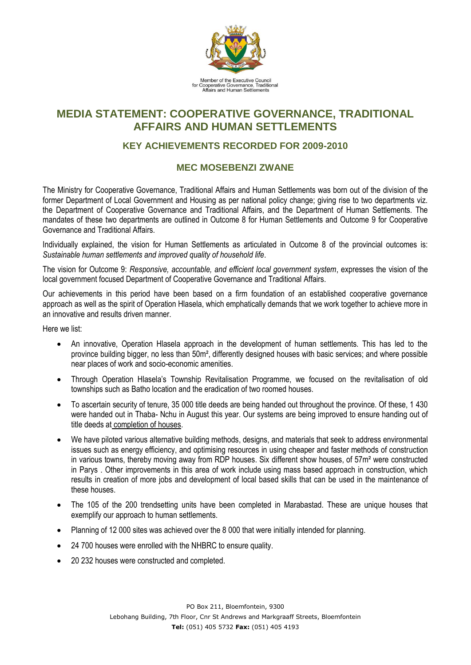

## **MEDIA STATEMENT: COOPERATIVE GOVERNANCE, TRADITIONAL AFFAIRS AND HUMAN SETTLEMENTS**

## **KEY ACHIEVEMENTS RECORDED FOR 2009-2010**

## **MEC MOSEBENZI ZWANE**

The Ministry for Cooperative Governance, Traditional Affairs and Human Settlements was born out of the division of the former Department of Local Government and Housing as per national policy change; giving rise to two departments viz. the Department of Cooperative Governance and Traditional Affairs, and the Department of Human Settlements. The mandates of these two departments are outlined in Outcome 8 for Human Settlements and Outcome 9 for Cooperative Governance and Traditional Affairs.

Individually explained, the vision for Human Settlements as articulated in Outcome 8 of the provincial outcomes is: *Sustainable human settlements and improved quality of household life*.

The vision for Outcome 9: *Responsive, accountable, and efficient local government system*, expresses the vision of the local government focused Department of Cooperative Governance and Traditional Affairs.

Our achievements in this period have been based on a firm foundation of an established cooperative governance approach as well as the spirit of Operation Hlasela, which emphatically demands that we work together to achieve more in an innovative and results driven manner.

Here we list:

- An innovative, Operation Hlasela approach in the development of human settlements. This has led to the province building bigger, no less than 50m², differently designed houses with basic services; and where possible near places of work and socio-economic amenities.
- Through Operation Hlasela's Township Revitalisation Programme, we focused on the revitalisation of old townships such as Batho location and the eradication of two roomed houses.
- To ascertain security of tenure, 35 000 title deeds are being handed out throughout the province. Of these, 1 430 were handed out in Thaba- Nchu in August this year. Our systems are being improved to ensure handing out of title deeds at completion of houses.
- We have piloted various alternative building methods, designs, and materials that seek to address environmental issues such as energy efficiency, and optimising resources in using cheaper and faster methods of construction in various towns, thereby moving away from RDP houses. Six different show houses, of 57m² were constructed in Parys . Other improvements in this area of work include using mass based approach in construction, which results in creation of more jobs and development of local based skills that can be used in the maintenance of these houses.
- The 105 of the 200 trendsetting units have been completed in Marabastad. These are unique houses that exemplify our approach to human settlements.
- Planning of 12 000 sites was achieved over the 8 000 that were initially intended for planning.
- 24 700 houses were enrolled with the NHBRC to ensure quality.
- 20 232 houses were constructed and completed.